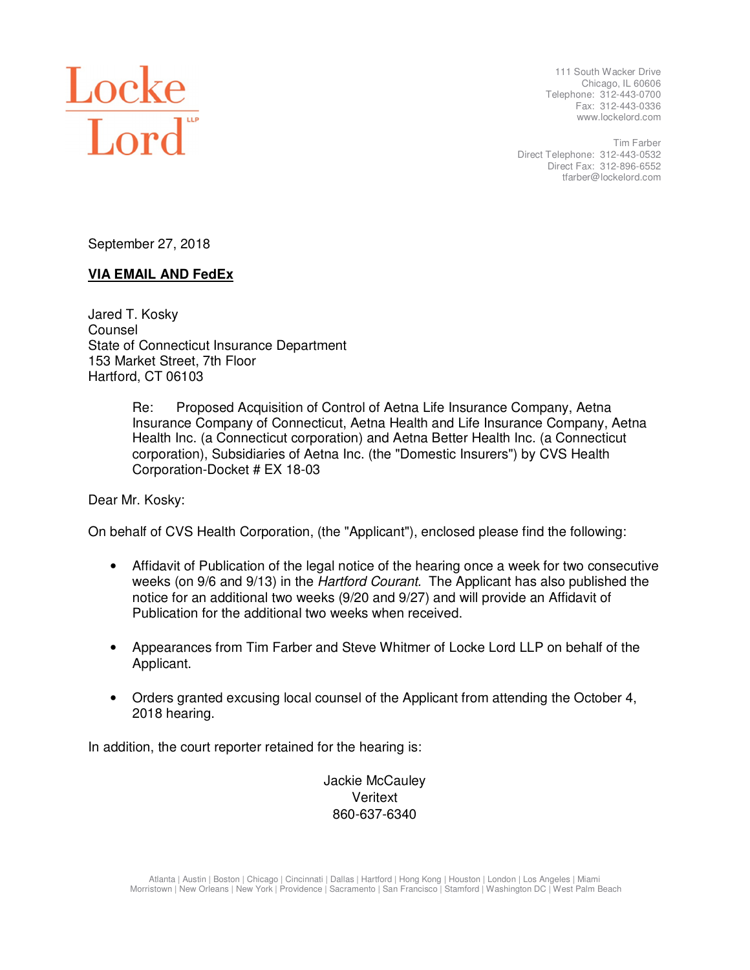

 111 South Wacker Drive Chicago, IL 60606 Telephone: 312-443-0700 Fax: 312-443-0336 www.lockelord.com

 Direct Telephone: 312-443-0532 Direct Fax: 312-896-6552 Tim Farber tfarber@lockelord.com

September 27, 2018

# **VIA EMAIL AND FedEx**

 Jared T. Kosky State of Connecticut Insurance Department 153 Market Street, 7th Floor Hartford, CT 06103 Counsel

> Re: Proposed Acquisition of Control of Aetna Life Insurance Company, Aetna Insurance Company of Connecticut, Aetna Health and Life Insurance Company, Aetna Health Inc. (a Connecticut corporation) and Aetna Better Health Inc. (a Connecticut corporation), Subsidiaries of Aetna Inc. (the "Domestic Insurers") by CVS Health Corporation-Docket # EX 18-03

Dear Mr. Kosky:

On behalf of CVS Health Corporation, (the "Applicant"), enclosed please find the following:

- weeks (on 9/6 and 9/13) in the *Hartford Courant*. The Applicant has also published the notice for an additional two weeks (9/20 and 9/27) and will provide an Affidavit of Publication for the additional two weeks when received. • Affidavit of Publication of the legal notice of the hearing once a week for two consecutive
- • Appearances from Tim Farber and Steve Whitmer of Locke Lord LLP on behalf of the Applicant.
- • Orders granted excusing local counsel of the Applicant from attending the October 4, 2018 hearing.

In addition, the court reporter retained for the hearing is:

 Jackie McCauley Veritext 860-637-6340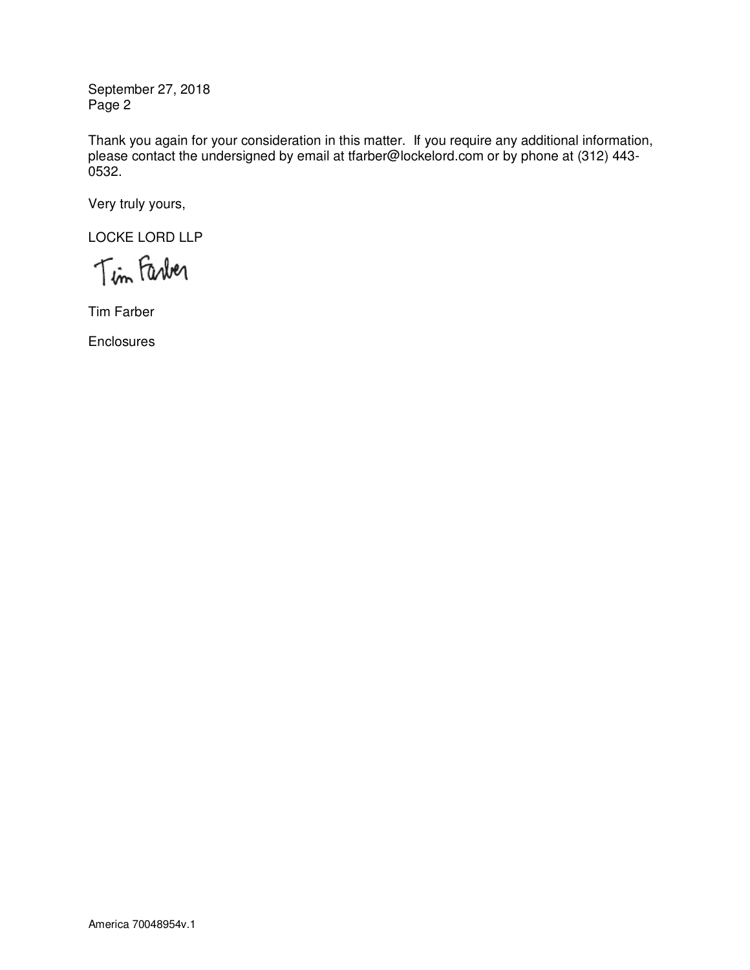September 27, 2018 Page 2

 Thank you again for your consideration in this matter. If you require any additional information, please contact the undersigned by email at tfarber@lockelord.com or by phone at (312) 443- 0532.

Very truly yours,

LOCKE LORD LLP

Tim Farber

Tim Farber

**Enclosures**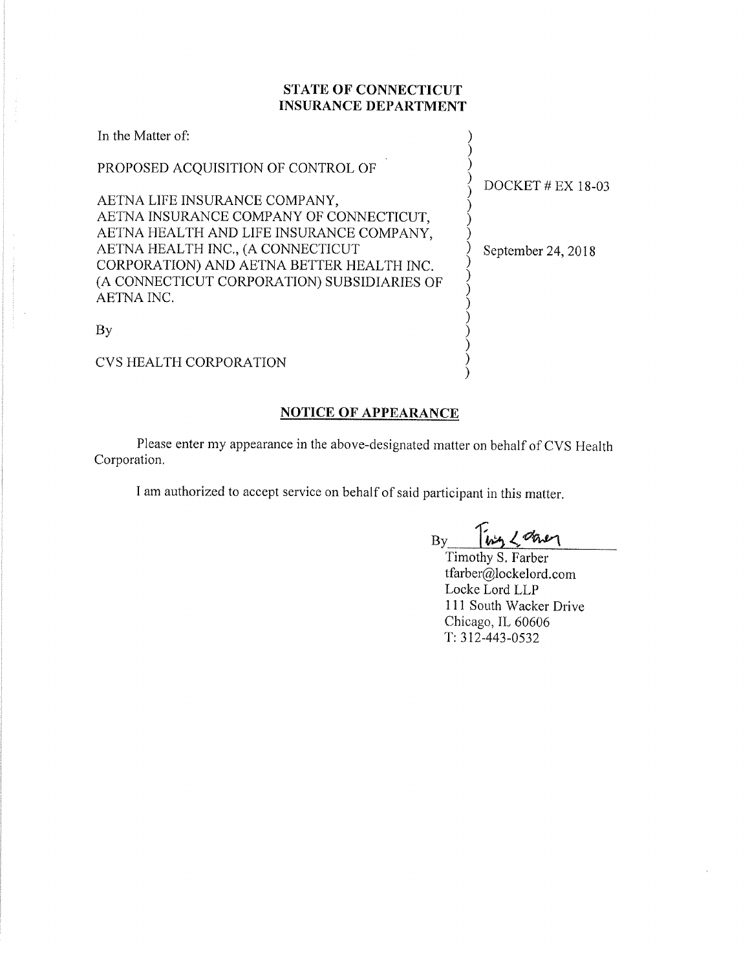## **STATE OF CONNECTICUT INSURANCE DEPARTMENT**

| In the Matter of:                                                                                                                                                                                                                                     |  |
|-------------------------------------------------------------------------------------------------------------------------------------------------------------------------------------------------------------------------------------------------------|--|
| PROPOSED ACQUISITION OF CONTROL OF                                                                                                                                                                                                                    |  |
| AETNA LIFE INSURANCE COMPANY,<br>AETNA INSURANCE COMPANY OF CONNECTICUT,<br>AETNA HEALTH AND LIFE INSURANCE COMPANY,<br>AETNA HEALTH INC., (A CONNECTICUT<br>CORPORATION) AND AETNA BETTER HEALTH INC.<br>(A CONNECTICUT CORPORATION) SUBSIDIARIES OF |  |
| AETNA INC.                                                                                                                                                                                                                                            |  |
|                                                                                                                                                                                                                                                       |  |

DOCKET # EX 18-03

September 24, 2018

CVS HEALTH CORPORATION

# **NOTICE OF APPEARANCE**

Please enter my appearance in the above-designated matter on behalf of CVS Health Corporation.

I am authorized to accept service on behalf of said participant in this matter.

Ting 2 down  $\overline{By}$ 

 $\left\{ \begin{array}{c} 1 \\ 2 \end{array} \right.$ 

Timothy S. Farber tfarber@lockelord.com Locke Lord LLP 111 South Wacker Drive Chicago, IL 60606  $T: 312 - 443 - 0532$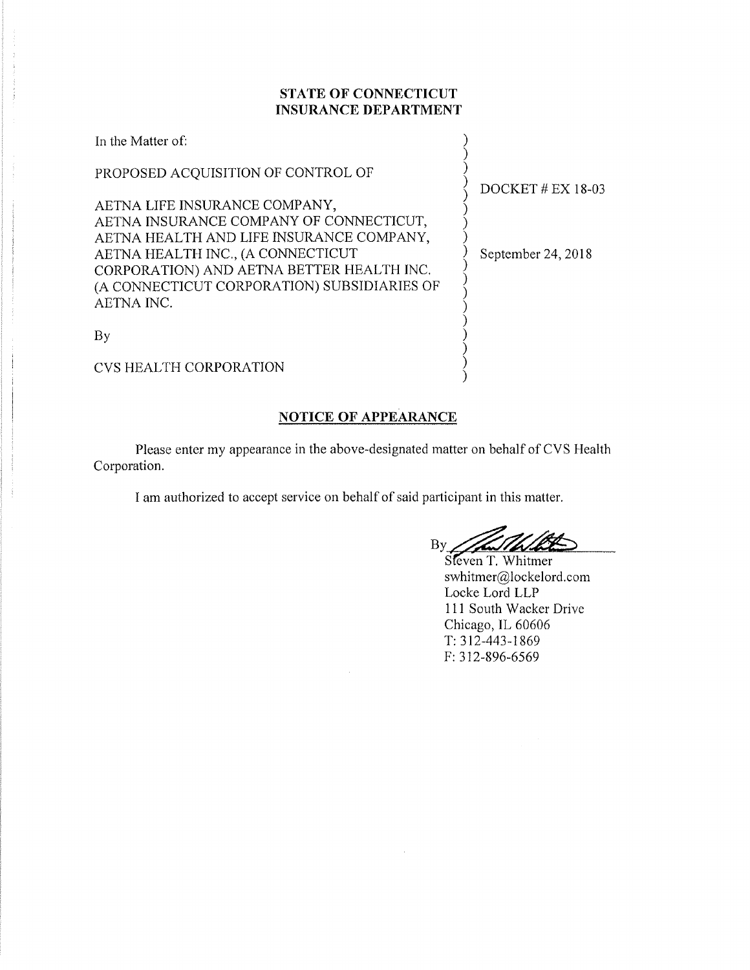### STATE OF CONNECTICUT **INSURANCE DEPARTMENT**

| In the Matter of:                                                              |                     |
|--------------------------------------------------------------------------------|---------------------|
| PROPOSED ACQUISITION OF CONTROL OF                                             | DOCKET $#$ EX 18-03 |
| AETNA LIFE INSURANCE COMPANY,                                                  |                     |
| AETNA INSURANCE COMPANY OF CONNECTICUT,                                        |                     |
| AETNA HEALTH AND LIFE INSURANCE COMPANY,                                       |                     |
| AETNA HEALTH INC., (A CONNECTICUT<br>CORPORATION) AND AETNA BETTER HEALTH INC. | September 24, 2018  |
| (A CONNECTICUT CORPORATION) SUBSIDIARIES OF                                    |                     |
| AETNA INC.                                                                     |                     |
|                                                                                |                     |
| By                                                                             |                     |
| <b>CVS HEALTH CORPORATION</b>                                                  |                     |

## **NOTICE OF APPEARANCE**

Please enter my appearance in the above-designated matter on behalf of CVS Health Corporation.

I am authorized to accept service on behalf of said participant in this matter.

By

Sleven T. Whitmer swhitmer@lockelord.com Locke Lord LLP 111 South Wacker Drive Chicago, IL 60606  $T: 312 - 443 - 1869$ F: 312-896-6569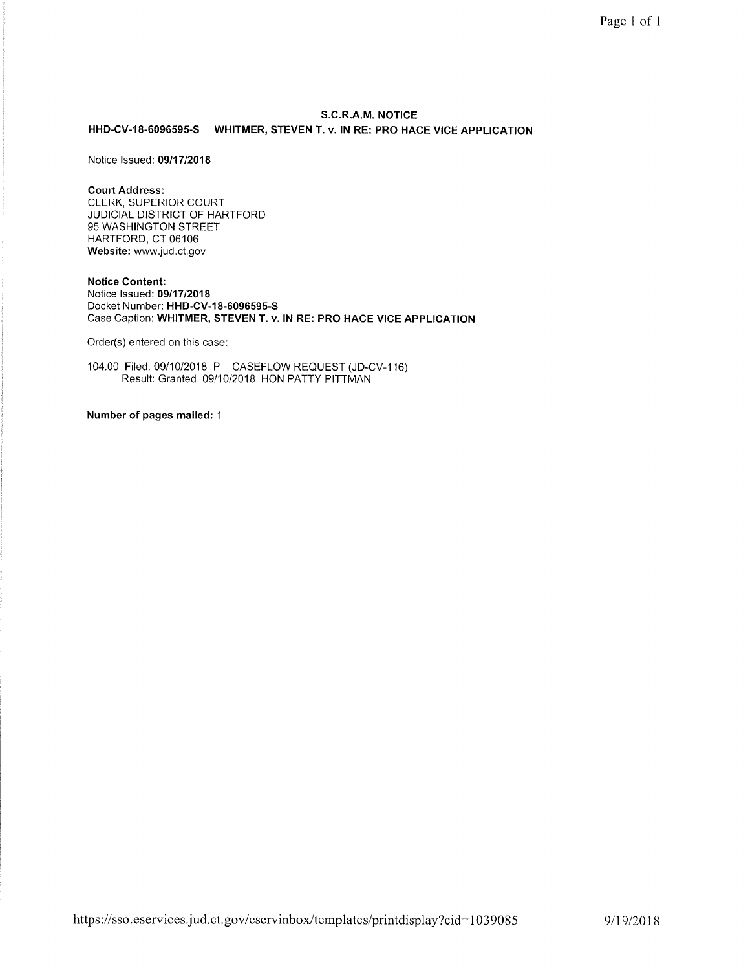### S.C.R.A.M. NOTICE HHD-CV-18-6096595-S WHITMER, STEVEN T. v. IN RE: PRO HACE VICE APPLICATION

Notice Issued: 09/17/2018

#### **Court Address:**

CLERK, SUPERIOR COURT JUDICIAL DISTRICT OF HARTFORD 95 WASHINGTON STREET HARTFORD, CT 06106 Website: www.jud.ct.gov

**Notice Content:** Notice Issued: 09/17/2018 Docket Number: HHD-CV-18-6096595-S Case Caption: WHITMER, STEVEN T. v. IN RE: PRO HACE VICE APPLICATION

Order(s) entered on this case:

104.00 Filed: 09/10/2018 P CASEFLOW REQUEST (JD-CV-116)<br>Result: Granted 09/10/2018 HON PATTY PITTMAN

Number of pages mailed: 1